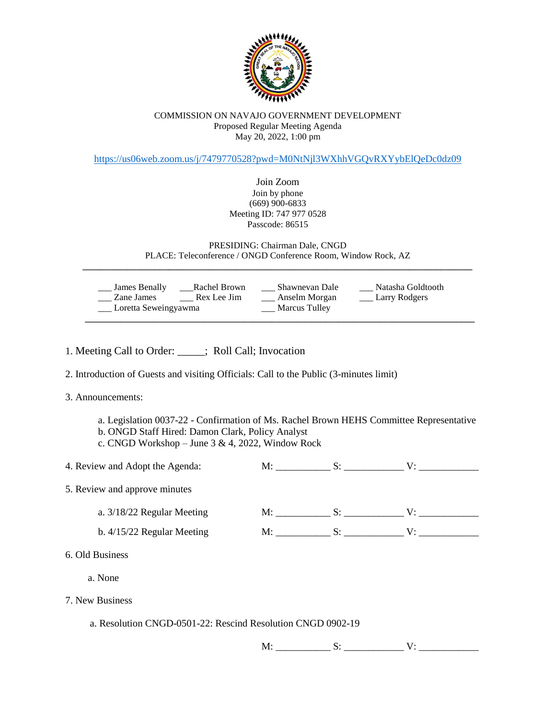

## COMMISSION ON NAVAJO GOVERNMENT DEVELOPMENT Proposed Regular Meeting Agenda May 20, 2022, 1:00 pm

<https://us06web.zoom.us/j/7479770528?pwd=M0NtNjl3WXhhVGQvRXYybElQeDc0dz09>

Join Zoom Join by phone (669) 900-6833 Meeting ID: 747 977 0528 Passcode: 86515

PRESIDING: Chairman Dale, CNGD PLACE: Teleconference / ONGD Conference Room, Window Rock, AZ **\_\_\_\_\_\_\_\_\_\_\_\_\_\_\_\_\_\_\_\_\_\_\_\_\_\_\_\_\_\_\_\_\_\_\_\_\_\_\_\_\_\_\_\_\_\_\_\_\_\_\_\_\_\_\_\_\_\_\_\_\_\_\_\_\_\_\_\_\_\_\_\_\_\_\_\_\_\_\_\_\_\_\_\_\_\_**

| James Benally<br>Zane James<br>___ Loretta Seweingyawma | Rachel Brown<br>Rex Lee Jim | Shawnevan Dale<br>Anselm Morgan<br>Marcus Tulley | Natasha Goldtooth<br><b>Larry Rodgers</b> |
|---------------------------------------------------------|-----------------------------|--------------------------------------------------|-------------------------------------------|
|---------------------------------------------------------|-----------------------------|--------------------------------------------------|-------------------------------------------|

- 1. Meeting Call to Order: \_\_\_\_\_; Roll Call; Invocation
- 2. Introduction of Guests and visiting Officials: Call to the Public (3-minutes limit)
- 3. Announcements:
	- a. Legislation 0037-22 Confirmation of Ms. Rachel Brown HEHS Committee Representative b. ONGD Staff Hired: Damon Clark, Policy Analyst
	- c. CNGD Workshop June 3 & 4, 2022, Window Rock

|                                                             | 4. Review and Adopt the Agenda: |  | M: S: V: |               |  |  |  |
|-------------------------------------------------------------|---------------------------------|--|----------|---------------|--|--|--|
| 5. Review and approve minutes                               |                                 |  |          |               |  |  |  |
|                                                             | a. $3/18/22$ Regular Meeting    |  |          | $M:$ S: S: V: |  |  |  |
|                                                             | b. $4/15/22$ Regular Meeting    |  |          | M: S: V:      |  |  |  |
| 6. Old Business                                             |                                 |  |          |               |  |  |  |
|                                                             | a. None                         |  |          |               |  |  |  |
| 7. New Business                                             |                                 |  |          |               |  |  |  |
| a. Resolution CNGD-0501-22: Rescind Resolution CNGD 0902-19 |                                 |  |          |               |  |  |  |
|                                                             |                                 |  |          |               |  |  |  |

 $M:$   $S:$   $V:$   $V:$